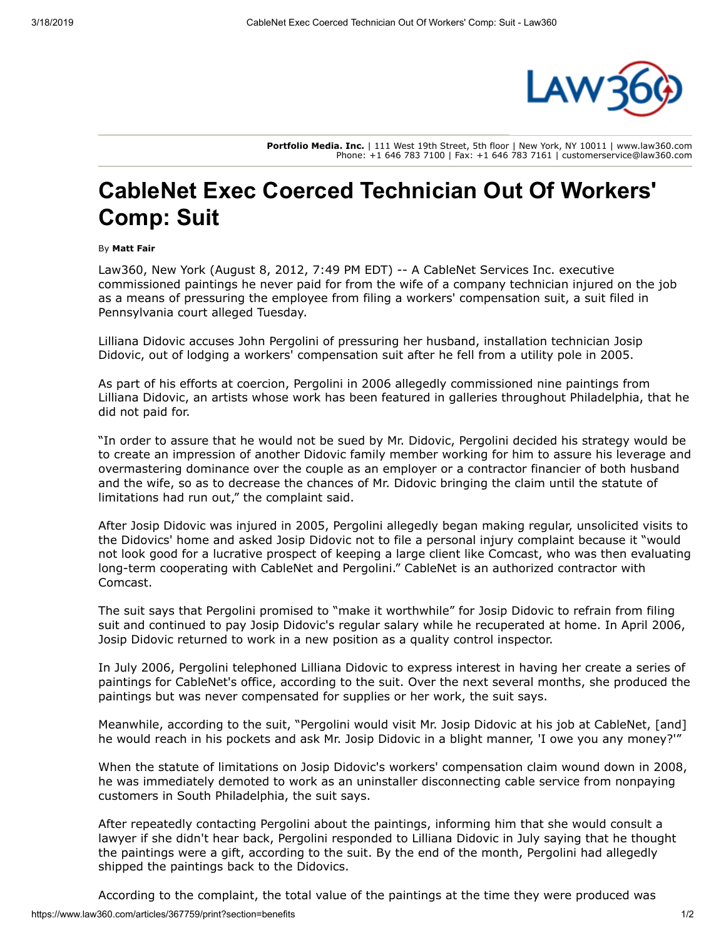

**Portfolio Media. Inc.** | 111 West 19th Street, 5th floor | New York, NY 10011 | www.law360.com Phone: +1 646 783 7100 | Fax: +1 646 783 7161 | customerservice@law360.com

## **CableNet Exec Coerced Technician Out Of Workers' Comp: Suit**

## By **Matt Fair**

Law360, New York (August 8, 2012, 7:49 PM EDT) -- A CableNet Services Inc. executive commissioned paintings he never paid for from the wife of a company technician injured on the job as a means of pressuring the employee from filing a workers' compensation suit, a suit filed in Pennsylvania court alleged Tuesday.

Lilliana Didovic accuses John Pergolini of pressuring her husband, installation technician Josip Didovic, out of lodging a workers' compensation suit after he fell from a utility pole in 2005.

As part of his efforts at coercion, Pergolini in 2006 allegedly commissioned nine paintings from Lilliana Didovic, an artists whose work has been featured in galleries throughout Philadelphia, that he did not paid for.

"In order to assure that he would not be sued by Mr. Didovic, Pergolini decided his strategy would be to create an impression of another Didovic family member working for him to assure his leverage and overmastering dominance over the couple as an employer or a contractor financier of both husband and the wife, so as to decrease the chances of Mr. Didovic bringing the claim until the statute of limitations had run out," the complaint said.

After Josip Didovic was injured in 2005, Pergolini allegedly began making regular, unsolicited visits to the Didovics' home and asked Josip Didovic not to file a personal injury complaint because it "would not look good for a lucrative prospect of keeping a large client like [Comcast](https://www.law360.com/companies/comcast-corp), who was then evaluating long-term cooperating with CableNet and Pergolini." CableNet is an authorized contractor with Comcast.

The suit says that Pergolini promised to "make it worthwhile" for Josip Didovic to refrain from filing suit and continued to pay Josip Didovic's regular salary while he recuperated at home. In April 2006, Josip Didovic returned to work in a new position as a quality control inspector.

In July 2006, Pergolini telephoned Lilliana Didovic to express interest in having her create a series of paintings for CableNet's office, according to the suit. Over the next several months, she produced the paintings but was never compensated for supplies or her work, the suit says.

Meanwhile, according to the suit, "Pergolini would visit Mr. Josip Didovic at his job at CableNet, [and] he would reach in his pockets and ask Mr. Josip Didovic in a blight manner, 'I owe you any money?'"

When the statute of limitations on Josip Didovic's workers' compensation claim wound down in 2008, he was immediately demoted to work as an uninstaller disconnecting cable service from nonpaying customers in South Philadelphia, the suit says.

After repeatedly contacting Pergolini about the paintings, informing him that she would consult a lawyer if she didn't hear back, Pergolini responded to Lilliana Didovic in July saying that he thought the paintings were a gift, according to the suit. By the end of the month, Pergolini had allegedly shipped the paintings back to the Didovics.

According to the complaint, the total value of the paintings at the time they were produced was